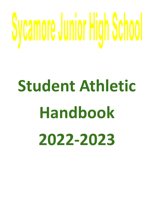# Sycamore Junior High School

# **Student Athletic Handbook 2022-2023**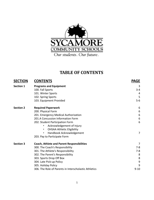

# **TABLE OF CONTENTS**

| <b>SECTION</b>   | <b>CONTENTS</b>                                       | <b>PAGE</b>      |
|------------------|-------------------------------------------------------|------------------|
| <b>Section 1</b> | <b>Programs and Equipment</b>                         | 3                |
|                  | 100. Fall Sports                                      | $3 - 4$          |
|                  | 101. Winter Sports                                    | 4                |
|                  | 102. Spring Sports                                    | 5                |
|                  | 103. Equipment Provided                               | $5-6$            |
| <b>Section 2</b> | <b>Required Paperwork</b>                             | 6                |
|                  | 200. Physical Form                                    | 6                |
|                  | 201. Emergency Medical Authorization                  | $6\,$            |
|                  | 201.A Concussion Information Form                     | $\boldsymbol{6}$ |
|                  | 202. Student Participation Form                       | 6                |
|                  | Acknowledgement of Injury                             |                  |
|                  | <b>OHSAA Athletic Eligibility</b><br>$\bullet$        |                  |
|                  | Handbook Acknowledgement<br>$\bullet$                 | $\overline{7}$   |
|                  | 203. Pay to Participate Form                          |                  |
| <b>Section 3</b> | <b>Coach, Athlete and Parent Responsibilities</b>     | 7                |
|                  | 300. The Coach's Responsibility                       | $7 - 8$          |
|                  | 301. The Athlete's Responsibility                     | $7-8$            |
|                  | 302. The Parent's Responsibility                      | 8                |
|                  | 303. Sports Drop Off Box                              | 8                |
|                  | 304. Late Pick-up Policy                              | $9$              |
|                  | 305. Holiday Policy                                   | 9                |
|                  | 306. The Role of Parents in Interscholastic Athletics | $9 - 10$         |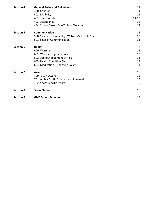| <b>Section 4</b> | <b>General Rules and Guidelines</b>             | 11        |
|------------------|-------------------------------------------------|-----------|
|                  | 400. Conduct                                    | 11        |
|                  | 401. Eligibility                                | 11        |
|                  | 402. Transportation                             | $11 - 12$ |
|                  | 403. Attendance                                 | 12        |
|                  | 404. School Closed Due To Poor Weather          | 12        |
| <b>Section 5</b> | Communication                                   | 13        |
|                  | 500. Sycamore Junior High Website/Schedule Star | 13        |
|                  | 501. Lines of Communication                     | 13        |
| <b>Section 6</b> | <b>Health</b>                                   | 13        |
|                  | 600. Warning                                    | 13        |
|                  | 601. When an Injury Occurs                      | 13        |
|                  | 602. Acknowledgement of Risk                    | 13        |
|                  | 603. Health Condition Alert                     | 13        |
|                  | 604. Medication Dispensing Policy               | 14        |
| <b>Section 7</b> | <b>Awards</b>                                   | 15        |
|                  | 700. 110% Award                                 | 15        |
|                  | 701. Archie Griffin Sportsmanship Award         | 15        |
|                  | 702. Sport-Specific Award                       | 15        |
| <b>Section 8</b> | <b>Team Photos</b>                              | 15        |
| <b>Section 9</b> | <b>GMC School Directions</b>                    | 15        |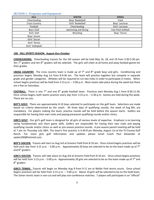### **SECTION 1: Programs and Equipment**

| <b>FALL</b>          | <b>WINTER</b>       | <b>SPRING</b>       |
|----------------------|---------------------|---------------------|
| Cheerleading         | Boys' Basketball    | <b>Track</b>        |
| <b>Cross Country</b> | Girls' Basketball   | Boys' Lacrosse      |
| Football             | Cheerleading        | Girls' Lacrosse     |
| Boy's Golf           | Swimming and Diving | Fast Pitch Softball |
| Girls' Golf          | Wrestling           | Boys' Tennis        |
| Boys' Soccer         |                     |                     |
| Girls' Soccer        |                     |                     |
| Girls' Tennis        |                     |                     |
| Girls' Volleyball    |                     |                     |

### **100. FALL SPORTS SEASON: August thru October**

**CHEERLEADING:** Cheerleading tryouts for the fall season will be held May 16, 18, and 19 from 3:30-5:30 pm. Ten  $7<sup>th</sup>$  graders and ten 8<sup>th</sup> graders will be selected. The girls will cheer at all home and away football games for their grades.

CROSS COUNTRY: The cross country team is made up of 7<sup>th</sup> and 8<sup>th</sup> grade boys and girls. Conditioning and practices begins Monday Aug 1st from 8-9:30 am. The team will practice together but compete in separate grade and gender categories. Athletes will be required to run two miles in order to participate in meets. When school begins practices will be held from 3:15 p.m. – 5:00 p.m. Most meets take place during the week but there are a few on Saturdays.

FOOTBALL: There is one 7<sup>th</sup> and one 8<sup>th</sup> grade football team. Practices start Monday Aug 1 from 8:30-11:30. Once school begins both teams practice every day from 3:15 p.m. – 5:30 p.m. Games are held during the week. There are no cuts.

**BOY'S GOLF:** There are approximately 8-10 boys selected to participate on the golf team. Selections are made based on criteria determined by the coach. All three days of qualifying rounds, the week of Aug 8th, are mandatory. For players making the team, practice rounds will be held before the season starts. Golfers are responsible for having their own clubs and paying preseason qualifying rounds and/or clinics.

**GIRL'S GOLF:** Our girl's golf team is designed for all girls of various levels of expertise. Emphasis is on learning swing fundamentals and short game skills. Golfers are responsible for having their own clubs and paying qualifying rounds and/or clinics as well as pre-season practice rounds. A pre-season parent meeting will be held at 7 pm on Thursday July 28th. The team's first practice is 6:30-8 pm Monday, August 1st at the Tri-County Golf Ranch. For more girls golf information and updates please email Coach Paul Alexander at spalex100@hotmail.com.

**BOY'S SOCCER:** Tryouts will start on Aug 3rd at Grooms Field from 8-10 am. Once school begins practices will be held each day from 3:15 p.m. - 5:00 p.m.. Approximately 20 boys are selected to be on the team made up of  $7<sup>th</sup>$ and 8<sup>th</sup> graders.

**GIRL'S SOCCER:** Tryouts will take place on Aug 3rd at Grooms Field from 8-10 am. Once school begins practices will be held from 3:15 p.m. - 5:00 p.m. Approximately 20 girls are selected to be on the team made up of  $7<sup>th</sup>$  and 8<sup>th</sup> graders.

**GIRL'S TENNIS:** Tryouts will begin on Monday Aug 8 from 9-11 am at Weller Park tennis courts. Once school begins practices will be held from 3:15 p.m. – 5:00 p.m. About 10 girls will be selected to be on the Gold team. The Green tennis team is non-cut and will play non-conference matches. 7 players will participate in an "official"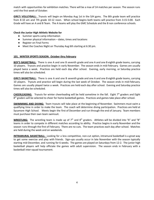match with opportunities for exhibition matches. There will be a max of 14 matches per season. The season runs until the first week of October.

**GIRL'S VOLLEYBALL:** Tryouts will begin on Monday Aug 1st in the SJH gyms. The 8th grade team will practice from 8-10 am and 7th grade 10-12 noon. When school begins both teams will practice from 3:15-5:00. Each Grade will have an A and B Team. The A teams will play the GMC Schedule and the B non conference schools.

### **Check the Junior High Athletic Website for**

- Summer sports camp information
- Summer physical information dates, times and locations
- Register on Final Forms
- Meet the Coaches Night on Thursday Aug 6th starting at 6:30 pm.

### **101. WINTER SPORTS SEASON: October thru February**

**BOY'S BASKETBALL:** There is one A and one B seventh grade and one A and one B eighth grade teams, carrying 10 players. Tryouts and practice begin in early November. The season ends in mid-February. Games are usually played twice a week. Practices are held each day after school. Evening, early morning, or Saturday practice times will also be scheduled.

**GIRL'S BASKETBALL:** There is one A and one B seventh grade and one A and one B eighth grade teams, carrying 10 players. Tryouts and practice will begin during the last week of October. The season ends in mid-February. Games are usually played twice a week. Practices are held each day after school. Evening and Saturday practice times will also be scheduled.

CHEERLEADING: Tryouts for winter cheerleading will be held sometime in the fall. Eight 7<sup>th</sup> graders and Eight 8<sup>th</sup> graders will be selected to cheer for home basketball games. Practices and games take place after school.

**SWIMMIMG AND DIVING:** Team tryouts will take place at the beginning of November. Swimmers must swim a qualifying time in order to make the team. The coach will determine diving participation. Practices are held at Sycamore High School. Meets begin the first of December and run through the end of January. Team members must purchase their own team swimsuit.

WRESTLING: The wrestling team is made up of 7<sup>th</sup> and 8<sup>th</sup> graders. Athletes will be divided into "A" and "B" teams in order to compete in different matches according to ability. Practice begins in early November and the season runs through the first of February. There are no cuts. The team practices each day after school. Matches are held during the week and on weekends.

**INTRAMURAL BASKETBALL:** Looking for a less competitive, non-cut option, intramural basketball is a great way to get some exercise and play with friends. Sign-ups usually occur in late November with the season typically starting mid-December, and running for 6 weeks. The games are played on Saturdays from 12-2. The junior high basketball players will help officiate the games with adult supervision. The season ends in February with a basketball inter-squad tournament.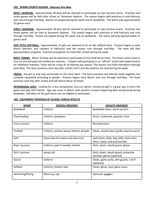### **102. SPRING SPORTS SEASON: February thru May**

**BOYS' LACROSSE:** Approximately 40 boys will be selected to participate on two lacrosse teams. Practices and home games will be held after school at Sycamore Stadium. The season begins with practices in mid-February and runs through mid-May. Games are played during the week and on weekends. The teams play approximately 15 games each.

**GIRLS' LACROSSE:** Approximately 40 girls will be selected to participate on two lacrosse teams. Practices and home games will be held at Sycamore Stadium. The season begins with practices in mid-February and runs through mid-May. Games are played during the week and on weekends. The teams will play approximately 15 games each.

**FAST PITCH SOFTBALL:** Approximately 13 girls are selected to be on the softball team. Practice begins in early March (pitchers and catchers in February) and the season runs through mid-May. The team will play approximately 14 games. Practices and games are held after school during the week.

**BOYS' TENNIS:** About 10 boys will be selected to participate on the Gold tennis team. The Green tennis team is non-cut and will play non-conference matches. 7 players will participate in an "official" match with opportunities for exhibition matches. There will be a max of 14 matches per season. The season runs from mid-March through early May. The team practices each day after school until 5 and the matches are held during the week.

**TRACK:** Any girl or boy may participate on the track team. The team practices and attends meets together, but compete separately according to gender. Practice begins early March and runs through mid-May. The team practices each day after school and will attend about 10 meets.

**INTRAMURAL GOLF:** Looking for a less competitive, non-cut option, intramural golf is a great way to learn the game and play with friends. Sign-ups occur in March with practice sessions beginning after spring break during weekdays. Members of the golf teams are not eligible to participate.

| <b>SPORT</b>         | <b>SCHOOL PROVIDES</b>                     | <b>ATHLETE PROVIDES</b>                                                         |
|----------------------|--------------------------------------------|---------------------------------------------------------------------------------|
| Basketball           | <b>Uniform</b>                             | Basketball shoes, warm-up shirt                                                 |
| Cheerleading         | Uniform, pompoms                           | Shoes, turtleneck, greenies, bow                                                |
| <b>Cross Country</b> | Uniform                                    | Running shoes                                                                   |
| Football             | Uniform, practice jersey, helmet, all pads | Cleats, mouth piece, girdle, practice pants                                     |
| Golf                 | Green fees for match and clinic only       | Golf shoes, clubs, bag, balls, team shirt,<br>clinic, tryout, and practice fees |
| Boys' Lacrosse       | Uniform, pads if needed, helmet            | Stick, cleats, mouth guard, gloves                                              |
| Girls' Lacrosse      | Jersey, kilt                               | Stick, cleats, mouth guard, protective<br>eyewear, gloves (optional)            |
| Soccer               | Uniform                                    | Cleats, game socks, shin guards, t-shirt<br>(optional)                          |
| Softball             | Uniform, helmet, bats                      | Cleats, glove, visor, game socks                                                |
| Swimming/Diving      | Warm-up, cap                               | Swimsuit, goggles                                                               |

### **103. EQUIPMENT PROVIDED BY SCHOOL VERSUS ATHLETE**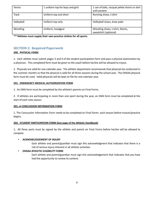| Tennis       | 1 uniform top for boys and girls | 1 can of balls, racquet, white shorts or skirt<br>with pockets |
|--------------|----------------------------------|----------------------------------------------------------------|
| <b>Track</b> | Uniform top and short            | Running shoes, t-shirt                                         |
| Volleyball   | Uniform top only                 | Volleyball shoes, knee pads                                    |
| Wrestling    | Uniform, headgear                | Wrestling shoes, t-shirt, Shorts,<br>sweatshirt (optional)     |

**\*\*\*Athletes must supply their own practice clothes for all sports.**

## **SECTION 2: Required Paperwork**

### **200. PHYSICAL FORM**

1. Each athlete must submit pages 3 and 4 of the student participation form and pass a physical examination by a physician. This completed form must be given to the coach before he/she will be allowed to tryout.

2. Physicals are valid for one calendar year. The athletic department recommends that physicals be conducted in the summer months so that the physical is valid for all three seasons during the school year. The OHSAA physical form must be used. Valid physicals will be kept on file for one calendar year.

### **201. EMERGENCY MEDICAL AUTHORIZATION FORM**

1. An EMA form must be completed by the athlete's parents on Final Forms.

2. If athletes are participating in more than one sport during the year, an EMA form must be completed at the start of each new season.

### **201.-A CONCUSSION INFORMATION FORM**

1. The Concussion Information Form needs to be completed on Final Forms each season before tryouts/practice begins.

### **202. STUDENT PARTICIPATION FORM (last page of the Athletic Handbook)**

1. All three parts must be signed by the athlete and parent on Final Forms before he/she will be allowed to compete.

### **• ACKNOWLEDGEMENT OF INJURY**

Each athlete and parent/guardian must sign this acknowledgment that indicates that there is a risk of serious injury inherent in all athletic activities.

### **• OHSAA ATHLETIC ELIGIBILITY FORM**

Each athlete and parent/guardian must sign this acknowledgement that indicates that you have had the opportunity to review its content.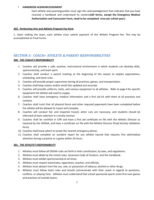### **• HANDBOOK ACKNOWLEDGEMENT**

Each athlete and parent/guardian must sign this acknowledgement that indicates that you have received a handbook and understand its contents**(All forms, except the Emergency Medical Authorization and Concussion Form, need to be completed once per school year.)**

### **203. Performing Arts and Athletic Program Fee form**

1. Upon making the team, each athlete must submit payment of the Athletic Program Fee. This may be accomplished on Final Forms.

### **SECTION 3: COACH< ATHLETE & PARENT RESPONSIBILITIES**

### **300. THE COACH'S RESPONSIBILITY**

- 1. Coaches will provide a safe, positive, instructional environment in which students can develop skills, sportsmanship, and team spirit.
- 2. Coaches shall conduct a parent meeting at the beginning of the season to explain expectations, scheduling, and team rules.
- 3. Coaches will provide proper supervision during all practices, games, and transportation.
- 4. Coaches shall keep rosters and/or email lists updated and accurate.
- 5. Coaches will provide uniforms, locks, and various equipment to all athletes. Refer to page 4 for specific equipment the athlete will need to supply.
- 6. Coaches shall have emergency medical information and a first aid kit with them at all practices and contests.
- 7. Coaches shall insist that all physical forms and other required paperwork have been completed before the athlete will be allowed to tryout and compete.
- 8. Coaches will conduct fair and impartial tryouts when cuts are necessary, and students should be informed of team selection in a timely manner.
- 9. Coaches shall be certified in CPR and have a first aid certificate on file with the Athletic Director as required by the OHSAA, and have a certificate on file with the Athletic Director (Pupil Activity Validation form).
- 10. Coaches shall know where to locate the nearest emergency phone.
- 11. Coaches shall complete an accident report for any athlete injured that requires first aid/medical attention during a practice or a game within 24 hours.

### **301. THE ATHLETE'S RESPONSIBILITY**

- 1. Athletes must follow all OHSAA rules set forth in their constitution, by laws, and regulations.
- 2. Athletes must abide by the school rules, Sycamore Code of Conduct, and this handbook.
- 3. Athletes must exhibit sportsmanship at all times.
- 4. Athletes must respect teammates, opponents, coaches, and officials.
- 5. Athletes must abstain from the use, sale, or possession of tobacco, alcohol or other drugs.
- 6. Athletes must follow team rules and should communicate with their coach in regards to questions, conflicts, or playing time. Athletes must understand that school sponsored sports come first over games and practices of outside teams.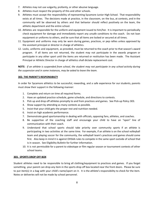- 7. Athletes may not use vulgarity, profanity, or other abusive language.
- 8. Athletes must respect the property of this and other schools.
- 9. Athletes must accept the responsibility of representing Sycamore Junior High School. That responsibility exists at all times. The decisions made at practice, in the classroom, on the bus, at contests, and in the community will be observed by others and that behavior should reflect positively on the team, the athletic department and the entire school.
- 10. Athletes are responsible for the uniform and equipment issued to him/her. It is important to periodically check equipment for damage and immediately report any unsafe conditions to the coach. Do not loan equipment or uniforms to others, and be sure that all items are locked or secured at all times.
- 11. Equipment and uniforms may only be worn during games, practices, or pep rallies unless approved by the assistant principal or director in charge of athletics.
- 12. Locks, uniforms and equipment, as provided, must be returned to the coach prior to that season's award program. If all items are not returned, the student may not participate in the awards program or participate in any other sport until the items are returned or restitution has been made. The Assistant Principal or Athletic Director in charge of athletics shall dictate replacement cost.

NOTE: If an athlete is suspended from school, the student may not participate in any school activity during *the suspension and in some instances, may be asked to leave the team.*

### **302. THE PARENT'S RESPONSIBILTY**

In order for Sycamore athletics to be successful, rewarding, and a safe experience for our students, parents must show their support in the following manner:

- 1. Complete and return on time all required forms.
- 2. Have an updated practice schedule, game schedule, and directions to contests.
- 3. Pick up and drop off athletes promptly to and from practices and games. See Pick-up Policy 303.
- 4. Show support by attending as many contests as possible.
- 5. Insist that your child gets the proper rest and nutrition needed.
- 6. Insist on high academic performance.
- 7. Demonstrate good sportsmanship in dealing with officials, opposing fans, athletes, and coaches.
- 8. Be supportive of the coaching staff and encourage your child to have an "open" line of communication with their coach.
- 9. Understand that school sports should take priority over community sports if an athlete is participating in two activities at the same time. For example, if an athlete is on the school volleyball team and playing soccer for the community, the volleyball team's practices and games should come first. Also keep in mind it is against OHSAA rules to compete in the same sport outside of school that is in season. See Eligibility Bulletin for further information.
- 10. It is not permissible for a parent to videotape or film regular season or tournament contests of other school teams.

### **303. SPORTS DROP OFF BOX**

Student athletes need to be responsible to bring all clothing/equipment to practices and games. If you forget something, your parent can drop any item in the sports drop off box located near the front doors. Please be sure to put item(s) in a bag with your child's name/sport on it. It is the athlete's responsibility to check for the item. Notes or deliveries will not be made by school personnel.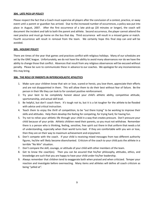### **304. LATE PICK-UP POLICY**

Please respect the fact that a Coach must supervise all players after the conclusion of a contest, practice, or away event until a parent or guardian has arrived. Due to the increased number of occurrences, a policy was put into place in August, 2007. After the first occurrence of a late pick-up (20 minutes or longer), the coach will document the incident and talk to both the parent and athlete. Second occurrence, the player cannot attend the next practice and must go home on the bus that day. Third occurrence will result in a missed game or match. Fourth occurrence will result in removal from the team. We certainly hope this final step can and will be avoided.

### **305. HOLIDAY POLICY**

There are times of the year that games and practices conflict with religious holidays. Many of our schedules are set by the GMC league. Unfortunately, we do not have the ability to avoid many observances nor do we have the ability to change those that conflict. Absences that result from any religious observances will be excused without penalty. Please be sure to communicate these in advance to our coaches. We apologize for any inconveniences this may bring.

### **306. THE ROLE OF PARENTS IN INTERSCHOLASTIC ATHLETICS**

- 1. Make sure your children know that win or lose, scared or heroic, you love them, appreciate their efforts and are not disappointed in them. This will allow them to do their best without fear of failure. Be the person in their life they can look to for constant positive reinforcement.
- 2. Try your best to be completely honest about your child's athletic ability, competitive attitude, sportsmanship, and actual skill level.
- 3. Be helpful, but don't coach them. It's tough not to, but it is a lot tougher for the athlete to be flooded with advice and critical instruction.
- 4. Teach them to enjoy the thrill of competition, to be "out there trying" to be working to improve their skills and attitudes. Help them develop the feeling for competing, for trying hard, for having fun.
- 5. Try not to relive your athletic life through your child in a way that creates pressure. Don't pressure your child because of your pride. Athletic children need their parents, so you must not withdraw. Remember there is a person who is thinking, feeling, sensitive, free spirit out there in that uniform that needs a lot of understanding, especially when their world turns bad. If they are comfortable with you win or lose, then they are on their way to maximum achievement and enjoyment.
- 6. Don't compete with the coach. If your child is receiving mixed messages from two different authority figures, he/she will likely become disenchanted. Criticism of the coach to your child puts the athlete in a terrible "No Win" situation.
- 7. Don't compare the skill, courage, or attitude of your child with other members of the team.
- 8. Get to know the coach(es). Then you can be assured that his/her philosophy, attitudes, ethics, and knowledge are such that you are happy to have your child under his/her leadership.
- 9. Always remember that children tend to exaggerate both when praised and when criticized. Temper your reaction and investigate before overreacting. Many items and athletes will define all coach criticism as being "yelled at".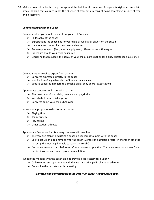10. Make a point of understanding courage and the fact that it is relative. Everyone is frightened in certain areas. Explain that courage is not the absence of fear, but a means of doing something in spite of fear and discomfort.

### **Communicating with the Coach**

Communication you should expect from your child's coach:

- $\triangleright$  Philosophy of the coach
- $\triangleright$  Expectations the coach has for your child as well as all players on the squad
- $\triangleright$  Locations and times of all practices and contests
- ➢ Team requirements (fees, special equipment, off-season conditioning, etc.)
- $\triangleright$  Procedure should your child be injured
- ➢ Discipline that results in the denial of your child's participation (eligibility, substance abuse, etc.)

Communication coaches expect from parents:

- $\triangleright$  Concerns expressed directly to the coach
- $\triangleright$  Notification of any schedule conflicts well in advance
- $\triangleright$  Specific concerns in regard to a coach's philosophy and/or expectations

Appropriate concerns to discuss with coaches:

- $\triangleright$  The treatment of your child, mentally and physically
- $\triangleright$  Ways to help your child improve
- $\triangleright$  Concerns about your child's behavior

Issues not appropriate to discuss with coaches:

- $\blacktriangleright$  Playing time
- $\triangleright$  Team strategy
- $\blacktriangleright$  Play calling
- $\triangleright$  Other student athletes

Appropriate Procedure for discussing concerns with coaches:

- $\triangleright$  The very first step in discussing a coaching concern is to meet with the coach.
- $\triangleright$  Call to set up an appointment with the coach (Contact the athletic director in charge of athletics to set up the meeting if unable to reach the coach.)
- $\triangleright$  Do not confront a coach before or after a contest or practice. These are emotional times for all parties involved and do not promote resolution.

What if the meeting with the coach did not provide a satisfactory resolution?

- $\triangleright$  Call to set up an appointment with the assistant principal in charge of athletics.
- $\triangleright$  Determine the next step at this meeting.

### *Reprinted with permission from the Ohio High School Athletic Association.*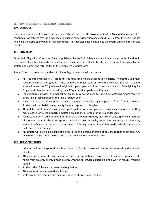### **SECTION 4: GENERAL RULES AND GUIDELINES**

### **400. CONDUCT**

The conduct of students involved in sports shall be governed by the *Sycamore Student Code of Conduct* and this handbook. An athlete may be disciplined, including game suspension and even dismissal from the team, for not following the *Code of Conduct* or this handbook. This decision shall be made by the coach, athletic director, and principal.

### **401. ELIGIBILITY**

An Athletic Eligibility Information Bulletin published by the Ohio Athletic Association is located in this handbook. This bulletin lists the standards that each athlete must meet in order to be eligible. This must be signed by the athlete and parent and returned with the completed physical form.

Some of the most common standards for junior high students are listed below.

- 1. All students enrolling in  $7<sup>th</sup>$  grade for the first time will be academically eligible. Thereafter, you must have received passing grades in five or more enrolled courses from the previous quarter. Students enrolled below the 7<sup>th</sup> grade are ineligible for participation in interscholastic athletics. Fall eligibility for  $8<sup>th</sup>$  grade students is determined by their 4<sup>th</sup> quarter final grade as a 7<sup>th</sup> grader.
- 2. For eligibility purposes, summer school grades may not be used to substitute for failing grades received in the final grading period of the regular school year.
- 3. If you are 15 years of age prior to August 1 you are ineligible to participate in  $7<sup>th</sup>$  &  $8<sup>th</sup>$  grade athletics. Students with a disability may qualify for an exception to this bylaw.
- 4. All athletes must submit a completed participation form and pass a physical examination before they may practice for a school sport. Physical examinations are good for one calendar year.
- 5. Participation by an athlete in an inter-scholastic program (tryouts, practice or contest) while a member of a school squad in the same sport is prohibited. For example, an athlete may not play community soccer if he/she is on the school soccer team. This begins when the athlete participates in the school's first contest or scrimmage.
- 6. An athlete will be ineligible if he/she is recruited by a person or group of persons to change schools. Any type of recruiting should be reported to the athletic director immediately.

### **402. TRANSPORTATION**

- 1. Athletes will be transported in school buses and/or district-owned vehicles as arranged by the athletic director.
- 2. Athletes are required to take school provided transportation to any event. If a student wants to ride home from an away event, it must be only with the parent/legal guardian, and a written request must be signed.
- 3. Students shall follow all bus rules and regulations.
- 4. Athletes must remain seated at all times.
- 5. State law dictates that no one may eat, drink, or chew gum on the bus.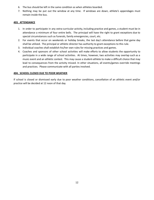- 6. The bus should be left in the same condition as when athletes boarded.
- 7. Nothing may be put out the window at any time. If windows are down, athlete's appendages must remain inside the bus.

### **403. ATTENDANCE**

- 1. In order to participate in any extra-curricular activity, including practice and games, a student must be in attendance a minimum of four entire bells. The principal will have the right to grant exceptions due to special circumstances such as funerals, family emergencies, court, etc.
- 2. For events that occur on weekends or holiday breaks, the last day's attendance before that game day shall be utilized. The principal or athletic director has authority to grant exceptions to this rule.
- 3. Individual coaches shall establish his/her own rules for missing practices and games.
- 4. Coaches and sponsors of other school activities will make efforts to allow students the opportunity to participate in a wide range of school activities. At times, however, two activities may overlap such as a music event and an athletic contest. This may cause a student-athlete to make a difficult choice that may lead to consequences from the activity missed. In other situations, all events/games override meetings and practices. Please communicate with all parties involved.

### **404. SCHOOL CLOSED DUE TO POOR WEATHER**

If school is closed or dismissed early due to poor weather conditions, cancellation of an athletic event and/or practice will be decided at 12 noon of that day.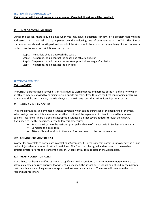### **SECTION 5: COMMUNICATION**

### **500. Coaches will have addresses to away games. If needed directions will be provided.**

### **501. LINES OF COMMUNICATION**

During the season, there may be times when you may have a question, concern, or a problem that must be addressed. If so, we ask that you please use the following line of communication. NOTE: This line of communication should be skipped and an administrator should be contacted immediately if the concern or problem involves a serious violation or safety issue.

- Step 1. The athlete should approach the coach.
- Step 2. The parent should contact the coach and athletic director.
- Step 3. The parent should contact the assistant principal in charge of athletics.
- Step 4. The parent should contact the principal.

### **SECTION 6: HEALTH**

### **600. WARNING**

The OHSAA dictates that a school district has a duty to warn students and parents of the risk of injury to which an athlete may be exposed by participating in a sports program. Even through the best conditioning programs, equipment, skills, and training, there is always a chance in any sport that a significant injury can occur.

### **601. WHEN AN INJURY OCCURS**

The school provides supplemental insurance coverage which can be purchased at the beginning of the year. When an injury occurs, this sometimes pays that portion of the expense which is not covered by your own personal insurance. There is also a catastrophic insurance plan that covers athletes through the OHSAA. If you need to use this coverage, please follow this procedure:

- Report the injury to the assistant principal in charge of athletics within 30 days of the injury
- Complete the claim form
- Attach bills and receipts to the claim form and send to the insurance carrier

### **602. ACKNOWLEDGMENT OF RISK**

In order for an athlete to participate in athletics at Sycamore, it is necessary that parents acknowledge the risk of serious injury that is inherent in athletic activities. This form must be signed and returned to the coach or athletic director prior to the start of the season. A copy of this form is listed in the Appendices.

### **603. HEALTH CONDITION ALERT**

If an athlete has been identified as having a significant health condition that may require emergency care (i.e. asthma, diabetes, seizure disorder, food/insect allergy, etc.), the school nurse should be notified by the parents that the athlete is enrolling in a school sponsored extracurricular activity. The nurse will then train the coach to respond appropriately.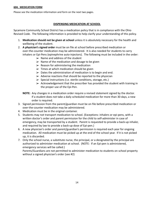### **604. MEDICATION FORM**

Please see the medication information and form on the next two pages.

### **DISPENSING MEDICATION AT SCHOOL**

Sycamore Community School District has a medication policy that is in compliance with the Ohio Revised Code. The following information is provided to help clarify your understanding of this policy.

- 1. **Medication should not be given at school** unless it is absolutely necessary for the health and wellbeing of the student.
- 2. **A physician's signed order** must be on file at school before prescribed medication or over-the-counter medication may be administered. It is also needed for students to carry inhalers or Epi-Pens (epinephrine auto-injectors). The following must be included in the order:
	- $\triangleright$  Name and address of the student
	- $\triangleright$  Name of the medication and dosage to be given
	- $\triangleright$  Reason for administering the medication
	- $\triangleright$  Times at which medication should be given
	- $\triangleright$  Dates the administration of medication is to begin and end.
	- $\triangleright$  Adverse reactions that should be reported to the physician
	- $\triangleright$  Special instructions (i.e. sterile conditions, storage, etc.)
	- $\triangleright$  Acknowledgement that the prescriber has provided the student with training in the proper use of the Epi-Pen.
	- **NOTE:** Any changes in a medication order require a revised statement signed by the doctor. If a student does not take a daily scheduled medication for more than 30 days, a new order is required.
- 3. Signed permission from the parent/guardian must be on file before prescribed medication or over-the-counter medication may be administered.
- 4. Medication must be in the original container.
- 5. Students may not transport medication to school. (Exceptions: inhalers or epi-pens, with a written doctor's order and parent permission for the child to self-administer in case of emergency, may be transported by a student. Parent is requested to provide a back-up inhaler, and required by law to provide a back-up dose of Epi-pen.)
- 6. A new physician's order and parent/guardian's permission is required each year for ongoing medication. All medication must be picked up at the end of the school year. If it is not picked up, it is discarded.
- 7. Only the school nurse, a substitute nurse, the principal, or a designated by the principal are authorized to administer medication at school. (NOTE: If an Epi-pen is administered, emergency services will be called.)

Parents/Guardians are not permitted to administer medication to students on school property without a signed physician's order (see #2)